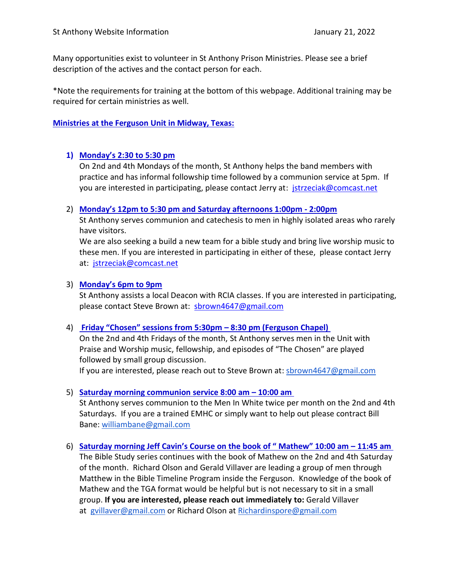Many opportunities exist to volunteer in St Anthony Prison Ministries. Please see a brief description of the actives and the contact person for each.

\*Note the requirements for training at the bottom of this webpage. Additional training may be required for certain ministries as well.

## **Ministries at the Ferguson Unit in Midway, Texas:**

# **1) Monday's 2:30 to 5:30 pm**

On 2nd and 4th Mondays of the month, St Anthony helps the band members with practice and has informal followship time followed by a communion service at 5pm. If you are interested in participating, please contact Jerry at: [jstrzeciak@comcast.net](mailto:jstrzeciak@comcast.net)

#### 2) **Monday's 12pm to 5:30 pm and Saturday afternoons 1:00pm - 2:00pm**

St Anthony serves communion and catechesis to men in highly isolated areas who rarely have visitors.

We are also seeking a build a new team for a bible study and bring live worship music to these men. If you are interested in participating in either of these, please contact Jerry at: [jstrzeciak@comcast.net](mailto:jstrzeciak@comcast.net)

#### 3) **Monday's 6pm to 9pm**

St Anthony assists a local Deacon with RCIA classes. If you are interested in participating, please contact Steve Brown at: [sbrown4647@gmail.com](mailto:sbrown4647@gmail.com)

#### 4) **Friday "Chosen" sessions from 5:30pm – 8:30 pm (Ferguson Chapel)**

On the 2nd and 4th Fridays of the month, St Anthony serves men in the Unit with Praise and Worship music, fellowship, and episodes of "The Chosen" are played followed by small group discussion.

If you are interested, please reach out to Steve Brown at: [sbrown4647@gmail.com](mailto:sbrown4647@gmail.com)

#### 5) **Saturday morning communion service 8:00 am – 10:00 am**

St Anthony serves communion to the Men In White twice per month on the 2nd and 4th Saturdays. If you are a trained EMHC or simply want to help out please contract Bill Bane: [williambane@gmail.com](mailto:williambane@gmail.com)

6) **Saturday morning Jeff Cavin's Course on the book of " Mathew" 10:00 am – 11:45 am** The Bible Study series continues with the book of Mathew on the 2nd and 4th Saturday of the month. Richard Olson and Gerald Villaver are leading a group of men through Matthew in the Bible Timeline Program inside the Ferguson. Knowledge of the book of Mathew and the TGA format would be helpful but is not necessary to sit in a small group. **If you are interested, please reach out immediately to:** Gerald Villaver at [gvillaver@gmail.com](mailto:gvillaver@gmail.com) or Richard Olson at [Richardinspore@gmail.com](mailto:Richardinspore@gmail.com)